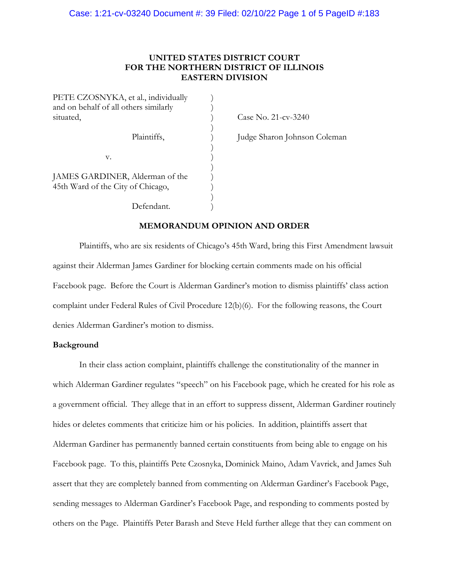# **UNITED STATES DISTRICT COURT FOR THE NORTHERN DISTRICT OF ILLINOIS EASTERN DIVISION**

)

)

)

)

PETE CZOSNYKA, et al., individually and on behalf of all others similarly ) situated,  $\cos 21 - \cos 3240$  $\mathbf{v}$ .  $\qquad \qquad$  ) JAMES GARDINER, Alderman of the 45th Ward of the City of Chicago, ) Defendant.

Plaintiffs,  $\rangle$  Judge Sharon Johnson Coleman

# **MEMORANDUM OPINION AND ORDER**

Plaintiffs, who are six residents of Chicago's 45th Ward, bring this First Amendment lawsuit against their Alderman James Gardiner for blocking certain comments made on his official Facebook page. Before the Court is Alderman Gardiner's motion to dismiss plaintiffs' class action complaint under Federal Rules of Civil Procedure 12(b)(6). For the following reasons, the Court denies Alderman Gardiner's motion to dismiss.

### **Background**

In their class action complaint, plaintiffs challenge the constitutionality of the manner in which Alderman Gardiner regulates "speech" on his Facebook page, which he created for his role as a government official. They allege that in an effort to suppress dissent, Alderman Gardiner routinely hides or deletes comments that criticize him or his policies. In addition, plaintiffs assert that Alderman Gardiner has permanently banned certain constituents from being able to engage on his Facebook page. To this, plaintiffs Pete Czosnyka, Dominick Maino, Adam Vavrick, and James Suh assert that they are completely banned from commenting on Alderman Gardiner's Facebook Page, sending messages to Alderman Gardiner's Facebook Page, and responding to comments posted by others on the Page. Plaintiffs Peter Barash and Steve Held further allege that they can comment on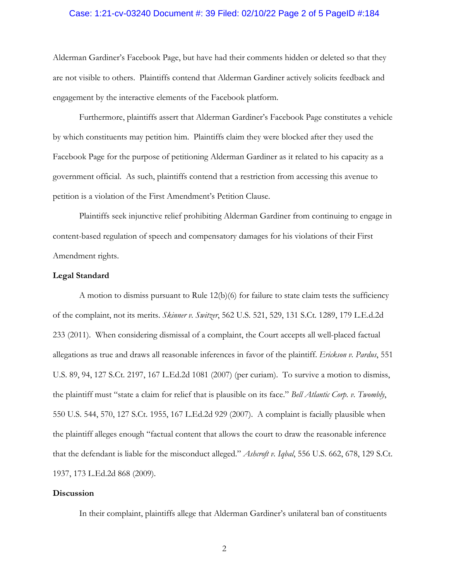## Case: 1:21-cv-03240 Document #: 39 Filed: 02/10/22 Page 2 of 5 PageID #:184

Alderman Gardiner's Facebook Page, but have had their comments hidden or deleted so that they are not visible to others. Plaintiffs contend that Alderman Gardiner actively solicits feedback and engagement by the interactive elements of the Facebook platform.

Furthermore, plaintiffs assert that Alderman Gardiner's Facebook Page constitutes a vehicle by which constituents may petition him. Plaintiffs claim they were blocked after they used the Facebook Page for the purpose of petitioning Alderman Gardiner as it related to his capacity as a government official. As such, plaintiffs contend that a restriction from accessing this avenue to petition is a violation of the First Amendment's Petition Clause.

Plaintiffs seek injunctive relief prohibiting Alderman Gardiner from continuing to engage in content-based regulation of speech and compensatory damages for his violations of their First Amendment rights.

## **Legal Standard**

A motion to dismiss pursuant to Rule 12(b)(6) for failure to state claim tests the sufficiency of the complaint, not its merits. *Skinner v. Switzer*, 562 U.S. 521, 529, 131 S.Ct. 1289, 179 L.E.d.2d 233 (2011). When considering dismissal of a complaint, the Court accepts all well-placed factual allegations as true and draws all reasonable inferences in favor of the plaintiff. *Erickson v. Pardus*, 551 U.S. 89, 94, 127 S.Ct. 2197, 167 L.Ed.2d 1081 (2007) (per curiam). To survive a motion to dismiss, the plaintiff must "state a claim for relief that is plausible on its face." *Bell Atlantic Corp. v. Twombly*, 550 U.S. 544, 570, 127 S.Ct. 1955, 167 L.Ed.2d 929 (2007). A complaint is facially plausible when the plaintiff alleges enough "factual content that allows the court to draw the reasonable inference that the defendant is liable for the misconduct alleged." *Ashcroft v. Iqbal*, 556 U.S. 662, 678, 129 S.Ct. 1937, 173 L.Ed.2d 868 (2009).

#### **Discussion**

In their complaint, plaintiffs allege that Alderman Gardiner's unilateral ban of constituents

2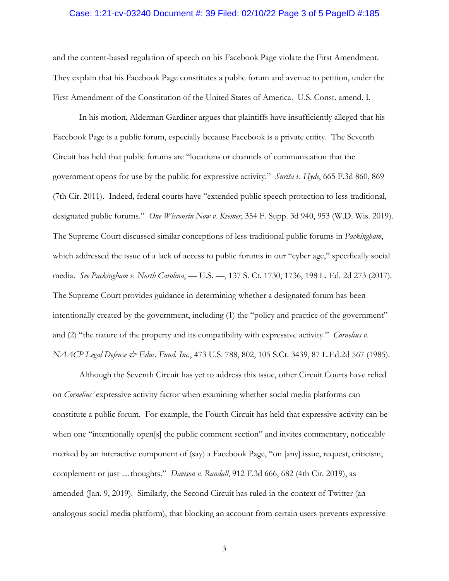## Case: 1:21-cv-03240 Document #: 39 Filed: 02/10/22 Page 3 of 5 PageID #:185

and the content-based regulation of speech on his Facebook Page violate the First Amendment. They explain that his Facebook Page constitutes a public forum and avenue to petition, under the First Amendment of the Constitution of the United States of America. U.S. Const. amend. I.

In his motion, Alderman Gardiner argues that plaintiffs have insufficiently alleged that his Facebook Page is a public forum, especially because Facebook is a private entity. The Seventh Circuit has held that public forums are "locations or channels of communication that the government opens for use by the public for expressive activity." *Surita v. Hyde*, 665 F.3d 860, 869 (7th Cir. 2011). Indeed, federal courts have "extended public speech protection to less traditional, designated public forums." *One Wisconsin Now v. Kremer*, 354 F. Supp. 3d 940, 953 (W.D. Wis. 2019). The Supreme Court discussed similar conceptions of less traditional public forums in *Packingham*, which addressed the issue of a lack of access to public forums in our "cyber age," specifically social media. *See Packingham v. North Carolina*, — U.S. —, 137 S. Ct. 1730, 1736, 198 L. Ed. 2d 273 (2017). The Supreme Court provides guidance in determining whether a designated forum has been intentionally created by the government, including (1) the "policy and practice of the government" and (2) "the nature of the property and its compatibility with expressive activity." *Cornelius v. NAACP Legal Defense & Educ. Fund. Inc.*, 473 U.S. 788, 802, 105 S.Ct. 3439, 87 L.Ed.2d 567 (1985).

Although the Seventh Circuit has yet to address this issue, other Circuit Courts have relied on *Cornelius'* expressive activity factor when examining whether social media platforms can constitute a public forum. For example, the Fourth Circuit has held that expressive activity can be when one "intentionally open[s] the public comment section" and invites commentary, noticeably marked by an interactive component of (say) a Facebook Page, "on [any] issue, request, criticism, complement or just …thoughts." *Davison v. Randall*, 912 F.3d 666, 682 (4th Cir. 2019), as amended (Jan. 9, 2019). Similarly, the Second Circuit has ruled in the context of Twitter (an analogous social media platform), that blocking an account from certain users prevents expressive

3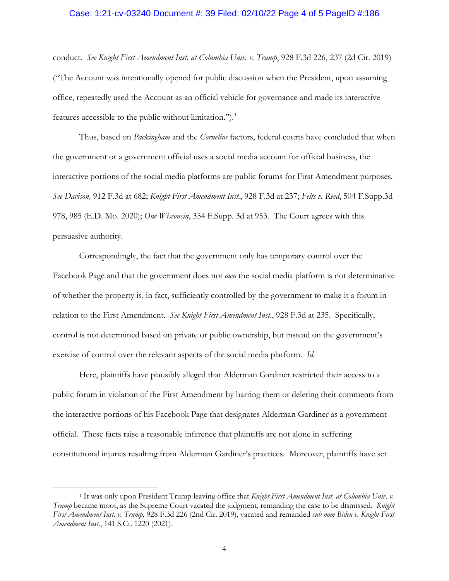## Case: 1:21-cv-03240 Document #: 39 Filed: 02/10/22 Page 4 of 5 PageID #:186

conduct. *See Knight First Amendment Inst. at Columbia Univ. v. Trump*, 928 F.3d 226, 237 (2d Cir. 2019) ("The Account was intentionally opened for public discussion when the President, upon assuming office, repeatedly used the Account as an official vehicle for governance and made its interactive features accessible to the public without limitation.").<sup>[1](#page-3-0)</sup>

Thus, based on *Packingham* and the *Cornelius* factors, federal courts have concluded that when the government or a government official uses a social media account for official business, the interactive portions of the social media platforms are public forums for First Amendment purposes*. See Davison,* 912 F.3d at 682; *Knight First Amendment Inst.*, 928 F.3d at 237; *Felts v. Reed*, 504 F.Supp.3d 978, 985 (E.D. Mo. 2020); *One Wisconsin*, 354 F.Supp. 3d at 953. The Court agrees with this persuasive authority.

Correspondingly, the fact that the government only has temporary control over the Facebook Page and that the government does not *own* the social media platform is not determinative of whether the property is, in fact, sufficiently controlled by the government to make it a forum in relation to the First Amendment. *See Knight First Amendment Inst.*, 928 F.3d at 235. Specifically, control is not determined based on private or public ownership, but instead on the government's exercise of control over the relevant aspects of the social media platform. *Id.*

Here, plaintiffs have plausibly alleged that Alderman Gardiner restricted their access to a public forum in violation of the First Amendment by barring them or deleting their comments from the interactive portions of his Facebook Page that designates Alderman Gardiner as a government official. These facts raise a reasonable inference that plaintiffs are not alone in suffering constitutional injuries resulting from Alderman Gardiner's practices. Moreover, plaintiffs have set

<span id="page-3-0"></span><sup>1</sup> It was only upon President Trump leaving office that *Knight First Amendment Inst. at Columbia Univ. v. Trump* became moot, as the Supreme Court vacated the judgment, remanding the case to be dismissed. *Knight First Amendment Inst. v. Trump*, 928 F.3d 226 (2nd Cir. 2019), vacated and remanded *sub nom Biden v. Knight First Amendment Inst.*, 141 S.Ct. 1220 (2021).